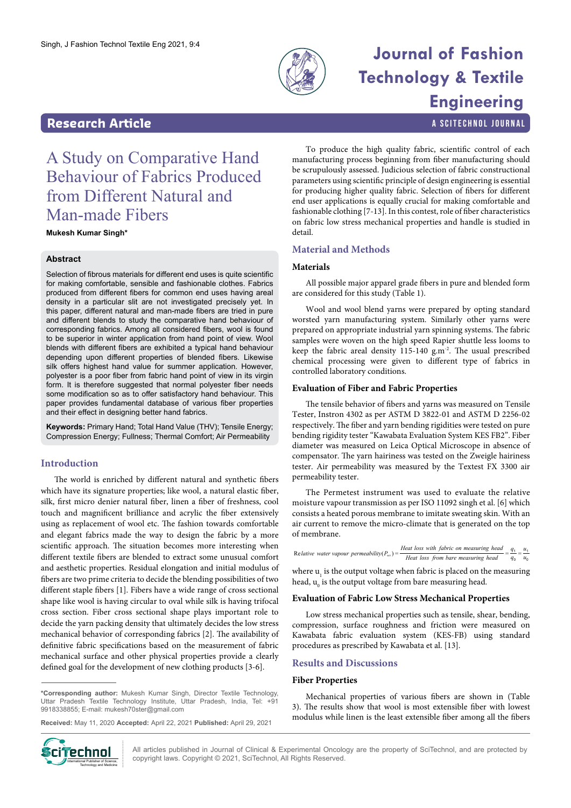

# **Journal of Fashion Technology & Textile Engineering**

a SciTechnol journal

## **Research Article**

## A Study on Comparative Hand Behaviour of Fabrics Produced from Different Natural and Man-made Fibers

**Mukesh Kumar Singh\***

## **Abstract**

Selection of fibrous materials for different end uses is quite scientific for making comfortable, sensible and fashionable clothes. Fabrics produced from different fibers for common end uses having areal density in a particular slit are not investigated precisely yet. In this paper, different natural and man-made fibers are tried in pure and different blends to study the comparative hand behaviour of corresponding fabrics. Among all considered fibers, wool is found to be superior in winter application from hand point of view. Wool blends with different fibers are exhibited a typical hand behaviour depending upon different properties of blended fibers. Likewise silk offers highest hand value for summer application. However, polyester is a poor fiber from fabric hand point of view in its virgin form. It is therefore suggested that normal polyester fiber needs some modification so as to offer satisfactory hand behaviour. This paper provides fundamental database of various fiber properties and their effect in designing better hand fabrics.

**Keywords:** Primary Hand; Total Hand Value (THV); Tensile Energy; Compression Energy; Fullness; Thermal Comfort; Air Permeability

## **Introduction**

The world is enriched by different natural and synthetic fibers which have its signature properties; like wool, a natural elastic fiber, silk, first micro denier natural fiber, linen a fiber of freshness, cool touch and magnificent brilliance and acrylic the fiber extensively using as replacement of wool etc. The fashion towards comfortable and elegant fabrics made the way to design the fabric by a more scientific approach. The situation becomes more interesting when different textile fibers are blended to extract some unusual comfort and aesthetic properties. Residual elongation and initial modulus of fibers are two prime criteria to decide the blending possibilities of two different staple fibers [1]. Fibers have a wide range of cross sectional shape like wool is having circular to oval while silk is having trifocal cross section. Fiber cross sectional shape plays important role to decide the yarn packing density that ultimately decides the low stress mechanical behavior of corresponding fabrics [2]. The availability of definitive fabric specifications based on the measurement of fabric mechanical surface and other physical properties provide a clearly defined goal for the development of new clothing products [3-6].

**\*Corresponding author:** Mukesh Kumar Singh, Director Textile Technology, Uttar Pradesh Textile Technology Institute, Uttar Pradesh, India, Tel: +91 9918338855; E-mail: mukesh70ster@gmail.com

**Received:** May 11, 2020 **Accepted:** April 22, 2021 **Published:** April 29, 2021



All articles published in Journal of Clinical & Experimental Oncology are the property of SciTechnol, and are protected by **if echnol** All articles published in Journal of Clinical & Experimental Oncolo<br>
Copyright laws. Copyright © 2021, SciTechnol, All Rights Reserved.

To produce the high quality fabric, scientific control of each manufacturing process beginning from fiber manufacturing should be scrupulously assessed. Judicious selection of fabric constructional parameters using scientific principle of design engineering is essential for producing higher quality fabric. Selection of fibers for different end user applications is equally crucial for making comfortable and fashionable clothing [7-13]. In this contest, role of fiber characteristics on fabric low stress mechanical properties and handle is studied in detail.

## **Material and Methods**

## **Materials**

All possible major apparel grade fibers in pure and blended form are considered for this study (Table 1).

Wool and wool blend yarns were prepared by opting standard worsted yarn manufacturing system. Similarly other yarns were prepared on appropriate industrial yarn spinning systems. The fabric samples were woven on the high speed Rapier shuttle less looms to keep the fabric areal density 115-140 g.m-2. The usual prescribed chemical processing were given to different type of fabrics in controlled laboratory conditions.

## **Evaluation of Fiber and Fabric Properties**

The tensile behavior of fibers and yarns was measured on Tensile Tester, Instron 4302 as per ASTM D 3822-01 and ASTM D 2256-02 respectively. The fiber and yarn bending rigidities were tested on pure bending rigidity tester "Kawabata Evaluation System KES FB2". Fiber diameter was measured on Leica Optical Microscope in absence of compensator. The yarn hairiness was tested on the Zweigle hairiness tester. Air permeability was measured by the Textest FX 3300 air permeability tester.

The Permetest instrument was used to evaluate the relative moisture vapour transmission as per ISO 11092 singh et al. [6] which consists a heated porous membrane to imitate sweating skin. With an air current to remove the micro-climate that is generated on the top of membrane.

|                                                        | Heat loss with fabric on measuring head $-\frac{q_1}{q_2} = \frac{u_1}{u_2}$ |             |
|--------------------------------------------------------|------------------------------------------------------------------------------|-------------|
| Relative water vapour permeability( $P_{\rm wv}$ ) = - | Heat loss from bare measuring head                                           | $q_0$ $u_0$ |

where  $\mathbf{u}_{\text{l}}$  is the output voltage when fabric is placed on the measuring head,  $\boldsymbol{\mathsf{u}}_{_{\boldsymbol{0}}}$  is the output voltage from bare measuring head.

## **Evaluation of Fabric Low Stress Mechanical Properties**

Low stress mechanical properties such as tensile, shear, bending, compression, surface roughness and friction were measured on Kawabata fabric evaluation system (KES-FB) using standard procedures as prescribed by Kawabata et al. [13].

## **Results and Discussions**

## **Fiber Properties**

Mechanical properties of various fibers are shown in (Table 3). The results show that wool is most extensible fiber with lowest modulus while linen is the least extensible fiber among all the fibers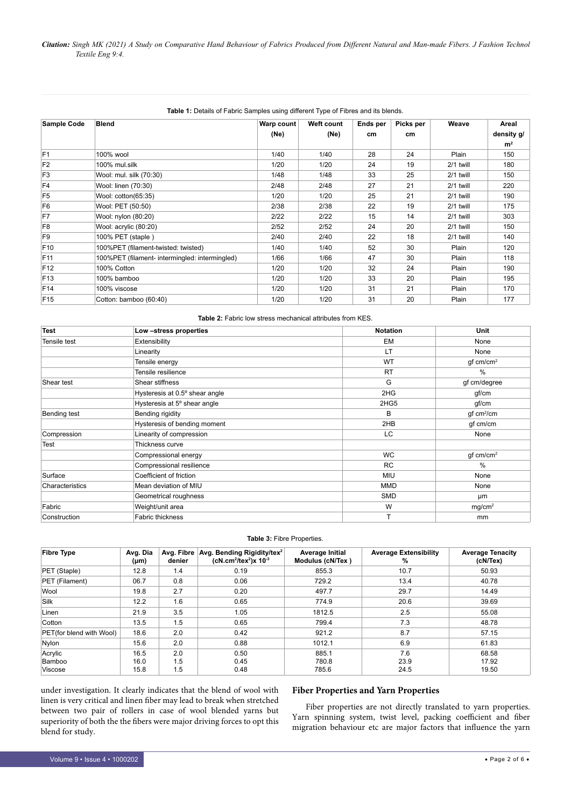## **Table 1:** Details of Fabric Samples using different Type of Fibres and its blends.

| <b>Sample Code</b> | <b>Blend</b>                                   | Warp count | Weft count | Ends per | Picks per | Weave       | Areal          |
|--------------------|------------------------------------------------|------------|------------|----------|-----------|-------------|----------------|
|                    |                                                | (Ne)       | (Ne)       | cm       | cm        |             | density g/     |
|                    |                                                |            |            |          |           |             | m <sup>2</sup> |
| F <sub>1</sub>     | 100% wool                                      | 1/40       | 1/40       | 28       | 24        | Plain       | 150            |
| F <sub>2</sub>     | 100% mul.silk                                  | 1/20       | 1/20       | 24       | 19        | 2/1 twill   | 180            |
| F <sub>3</sub>     | Wool: mul. silk (70:30)                        | 1/48       | 1/48       | 33       | 25        | 2/1 twill   | 150            |
| F <sub>4</sub>     | Wool: linen (70:30)                            | 2/48       | 2/48       | 27       | 21        | $2/1$ twill | 220            |
| F <sub>5</sub>     | Wool: cotton(65:35)                            | 1/20       | 1/20       | 25       | 21        | 2/1 twill   | 190            |
| F <sub>6</sub>     | Wool: PET (50:50)                              | 2/38       | 2/38       | 22       | 19        | 2/1 twill   | 175            |
| F7                 | Wool: nylon (80:20)                            | 2/22       | 2/22       | 15       | 14        | 2/1 twill   | 303            |
| F <sub>8</sub>     | Wool: acrylic (80:20)                          | 2/52       | 2/52       | 24       | 20        | 2/1 twill   | 150            |
| F <sub>9</sub>     | 100% PET (staple)                              | 2/40       | 2/40       | 22       | 18        | 2/1 twill   | 140            |
| F <sub>10</sub>    | 100%PET (filament-twisted: twisted)            | 1/40       | 1/40       | 52       | 30        | Plain       | 120            |
| F <sub>11</sub>    | 100%PET (filament- intermingled: intermingled) | 1/66       | 1/66       | 47       | 30        | Plain       | 118            |
| F <sub>12</sub>    | 100% Cotton                                    | 1/20       | 1/20       | 32       | 24        | Plain       | 190            |
| F <sub>13</sub>    | 100% bamboo                                    | 1/20       | 1/20       | 33       | 20        | Plain       | 195            |
| F14                | 100% viscose                                   | 1/20       | 1/20       | 31       | 21        | Plain       | 170            |
| F <sub>15</sub>    | Cotton: bamboo (60:40)                         | 1/20       | 1/20       | 31       | 20        | Plain       | 177            |

| <b>Test</b>     | Low-stress properties          | <b>Notation</b> | <b>Unit</b>                   |
|-----------------|--------------------------------|-----------------|-------------------------------|
| Tensile test    | Extensibility                  | EM              | None                          |
|                 | Linearity                      | LT              | None                          |
|                 | Tensile energy                 | <b>WT</b>       | $gf$ cm/cm <sup>2</sup>       |
|                 | Tensile resilience             | <b>RT</b>       | $\%$                          |
| Shear test      | Shear stiffness                | G               | gf cm/degree                  |
|                 | Hysteresis at 0.5° shear angle | 2HG             | gf/cm                         |
|                 | Hysteresis at 5° shear angle   | 2HG5            | gf/cm                         |
| Bending test    | Bending rigidity               | B               | $gf \, \text{cm}^2/\text{cm}$ |
|                 | Hysteresis of bending moment   | 2HB             | gf cm/cm                      |
| Compression     | Linearity of compression       | LC.             | None                          |
| <b>Test</b>     | Thickness curve                |                 |                               |
|                 | Compressional energy           | <b>WC</b>       | $gf$ cm/cm <sup>2</sup>       |
|                 | Compressional resilience       | <b>RC</b>       | $\%$                          |
| Surface         | Coefficient of friction        | <b>MIU</b>      | None                          |
| Characteristics | Mean deviation of MIU          | <b>MMD</b>      | None                          |
|                 | Geometrical roughness          | <b>SMD</b>      | μm                            |
| Fabric          | Weight/unit area               | W               | mg/cm <sup>2</sup>            |
| Construction    | <b>Fabric thickness</b>        |                 | mm                            |

#### **Table 3:** Fibre Properties.

| <b>Fibre Type</b>        | Avg. Dia<br>$(\mu m)$ | Avg. Fibre<br>denier | Avg. Bending Rigidity/tex <sup>2</sup><br>$(cN.cm^2/text^2)x 10^{-3}$ | Average Initial<br>Modulus (cN/Tex) | <b>Average Extensibility</b><br>% | <b>Average Tenacity</b><br>(cN/Tex) |
|--------------------------|-----------------------|----------------------|-----------------------------------------------------------------------|-------------------------------------|-----------------------------------|-------------------------------------|
| PET (Staple)             | 12.8                  | 1.4                  | 0.19                                                                  | 855.3                               | 10.7                              | 50.93                               |
| PET (Filament)           | 06.7                  | 0.8                  | 0.06                                                                  | 729.2                               | 13.4                              | 40.78                               |
| Wool                     | 19.8                  | 2.7                  | 0.20                                                                  | 497.7                               | 29.7                              | 14.49                               |
| <b>Silk</b>              | 12.2                  | 1.6                  | 0.65                                                                  | 774.9                               | 20.6                              | 39.69                               |
| Linen                    | 21.9                  | 3.5                  | 1.05                                                                  | 1812.5                              | 2.5                               | 55.08                               |
| Cotton                   | 13.5                  | 1.5                  | 0.65                                                                  | 799.4                               | 7.3                               | 48.78                               |
| PET(for blend with Wool) | 18.6                  | 2.0                  | 0.42                                                                  | 921.2                               | 8.7                               | 57.15                               |
| Nylon                    | 15.6                  | 2.0                  | 0.88                                                                  | 1012.1                              | 6.9                               | 61.83                               |
| Acrylic                  | 16.5                  | 2.0                  | 0.50                                                                  | 885.1                               | 7.6                               | 68.58                               |
| Bamboo                   | 16.0                  | 1.5                  | 0.45                                                                  | 780.8                               | 23.9                              | 17.92                               |
| Viscose                  | 15.8                  | 1.5                  | 0.48                                                                  | 785.6                               | 24.5                              | 19.50                               |

under investigation. It clearly indicates that the blend of wool with linen is very critical and linen fiber may lead to break when stretched between two pair of rollers in case of wool blended yarns but superiority of both the the fibers were major driving forces to opt this blend for study.

## **Fiber Properties and Yarn Properties**

Fiber properties are not directly translated to yarn properties. Yarn spinning system, twist level, packing coefficient and fiber migration behaviour etc are major factors that influence the yarn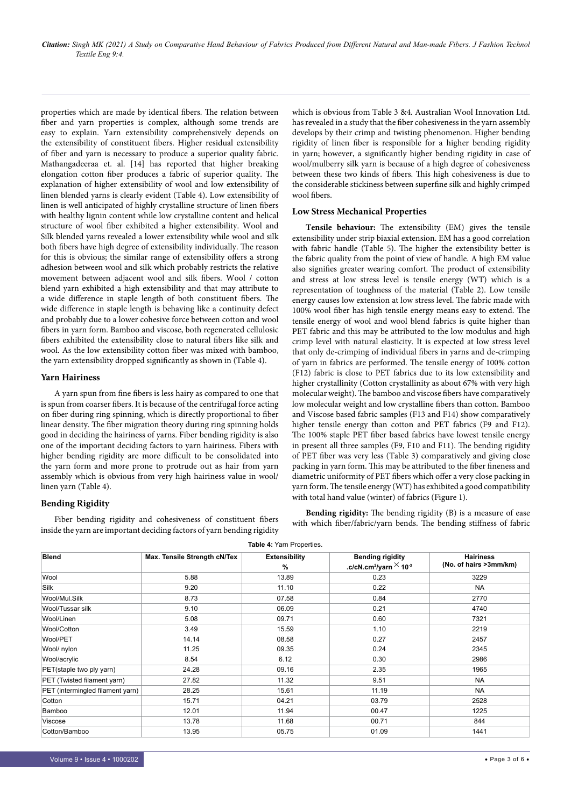*Citation: Singh MK (2021) A Study on Comparative Hand Behaviour of Fabrics Produced from Different Natural and Man-made Fibers. J Fashion Technol Textile Eng 9:4.*

properties which are made by identical fibers. The relation between fiber and yarn properties is complex, although some trends are easy to explain. Yarn extensibility comprehensively depends on the extensibility of constituent fibers. Higher residual extensibility of fiber and yarn is necessary to produce a superior quality fabric. Mathangadeeraa et. al. [14] has reported that higher breaking elongation cotton fiber produces a fabric of superior quality. The explanation of higher extensibility of wool and low extensibility of linen blended yarns is clearly evident (Table 4). Low extensibility of linen is well anticipated of highly crystalline structure of linen fibers with healthy lignin content while low crystalline content and helical structure of wool fiber exhibited a higher extensibility. Wool and Silk blended yarns revealed a lower extensibility while wool and silk both fibers have high degree of extensibility individually. The reason for this is obvious; the similar range of extensibility offers a strong adhesion between wool and silk which probably restricts the relative movement between adjacent wool and silk fibers. Wool / cotton blend yarn exhibited a high extensibility and that may attribute to a wide difference in staple length of both constituent fibers. The wide difference in staple length is behaving like a continuity defect and probably due to a lower cohesive force between cotton and wool fibers in yarn form. Bamboo and viscose, both regenerated cellulosic fibers exhibited the extensibility close to natural fibers like silk and wool. As the low extensibility cotton fiber was mixed with bamboo, the yarn extensibility dropped significantly as shown in (Table 4).

## **Yarn Hairiness**

A yarn spun from fine fibers is less hairy as compared to one that is spun from coarser fibers. It is because of the centrifugal force acting on fiber during ring spinning, which is directly proportional to fiber linear density. The fiber migration theory during ring spinning holds good in deciding the hairiness of yarns. Fiber bending rigidity is also one of the important deciding factors to yarn hairiness. Fibers with higher bending rigidity are more difficult to be consolidated into the yarn form and more prone to protrude out as hair from yarn assembly which is obvious from very high hairiness value in wool/ linen yarn (Table 4).

## **Bending Rigidity**

Fiber bending rigidity and cohesiveness of constituent fibers inside the yarn are important deciding factors of yarn bending rigidity

which is obvious from Table 3 &4. Australian Wool Innovation Ltd. has revealed in a study that the fiber cohesiveness in the yarn assembly develops by their crimp and twisting phenomenon. Higher bending rigidity of linen fiber is responsible for a higher bending rigidity in yarn; however, a significantly higher bending rigidity in case of wool/mulberry silk yarn is because of a high degree of cohesiveness between these two kinds of fibers. This high cohesiveness is due to the considerable stickiness between superfine silk and highly crimped wool fibers.

## **Low Stress Mechanical Properties**

**Tensile behaviour:** The extensibility (EM) gives the tensile extensibility under strip biaxial extension. EM has a good correlation with fabric handle (Table 5). The higher the extensibility better is the fabric quality from the point of view of handle. A high EM value also signifies greater wearing comfort. The product of extensibility and stress at low stress level is tensile energy (WT) which is a representation of toughness of the material (Table 2). Low tensile energy causes low extension at low stress level. The fabric made with 100% wool fiber has high tensile energy means easy to extend. The tensile energy of wool and wool blend fabrics is quite higher than PET fabric and this may be attributed to the low modulus and high crimp level with natural elasticity. It is expected at low stress level that only de-crimping of individual fibers in yarns and de-crimping of yarn in fabrics are performed. The tensile energy of 100% cotton (F12) fabric is close to PET fabrics due to its low extensibility and higher crystallinity (Cotton crystallinity as about 67% with very high molecular weight). The bamboo and viscose fibers have comparatively low molecular weight and low crystalline fibers than cotton. Bamboo and Viscose based fabric samples (F13 and F14) show comparatively higher tensile energy than cotton and PET fabrics (F9 and F12). The 100% staple PET fiber based fabrics have lowest tensile energy in present all three samples (F9, F10 and F11). The bending rigidity of PET fiber was very less (Table 3) comparatively and giving close packing in yarn form. This may be attributed to the fiber fineness and diametric uniformity of PET fibers which offer a very close packing in yarn form. The tensile energy (WT) has exhibited a good compatibility with total hand value (winter) of fabrics (Figure 1).

**Bending rigidity:** The bending rigidity (B) is a measure of ease with which fiber/fabric/yarn bends. The bending stiffness of fabric

| <b>Table 4: Yarn Properties.</b> |                              |                                       |                                                                      |                                            |  |
|----------------------------------|------------------------------|---------------------------------------|----------------------------------------------------------------------|--------------------------------------------|--|
| <b>Blend</b>                     | Max. Tensile Strength cN/Tex | <b>Extensibility</b><br>$\frac{9}{6}$ | <b>Bending rigidity</b><br>.c/cN.cm <sup>2</sup> /yarn $\times$ 10-3 | <b>Hairiness</b><br>(No. of hairs >3mm/km) |  |
| Wool                             | 5.88                         | 13.89                                 | 0.23                                                                 | 3229                                       |  |
| Silk                             | 9.20                         | 11.10                                 | 0.22                                                                 | <b>NA</b>                                  |  |
| Wool/Mul.Silk                    | 8.73                         | 07.58                                 | 0.84                                                                 | 2770                                       |  |
| Wool/Tussar silk                 | 9.10                         | 06.09                                 | 0.21                                                                 | 4740                                       |  |
| Wool/Linen                       | 5.08                         | 09.71                                 | 0.60                                                                 | 7321                                       |  |
| Wool/Cotton                      | 3.49                         | 15.59                                 | 1.10                                                                 | 2219                                       |  |
| Wool/PET                         | 14.14                        | 08.58                                 | 0.27                                                                 | 2457                                       |  |
| Wool/ nylon                      | 11.25                        | 09.35                                 | 0.24                                                                 | 2345                                       |  |
| Wool/acrylic                     | 8.54                         | 6.12                                  | 0.30                                                                 | 2986                                       |  |
| PET(staple two ply yarn)         | 24.28                        | 09.16                                 | 2.35                                                                 | 1965                                       |  |
| PET (Twisted filament yarn)      | 27.82                        | 11.32                                 | 9.51                                                                 | <b>NA</b>                                  |  |
| PET (intermingled filament yarn) | 28.25                        | 15.61                                 | 11.19                                                                | NA.                                        |  |
| Cotton                           | 15.71                        | 04.21                                 | 03.79                                                                | 2528                                       |  |
| Bamboo                           | 12.01                        | 11.94                                 | 00.47                                                                | 1225                                       |  |
| Viscose                          | 13.78                        | 11.68                                 | 00.71                                                                | 844                                        |  |
| Cotton/Bamboo                    | 13.95                        | 05.75                                 | 01.09                                                                | 1441                                       |  |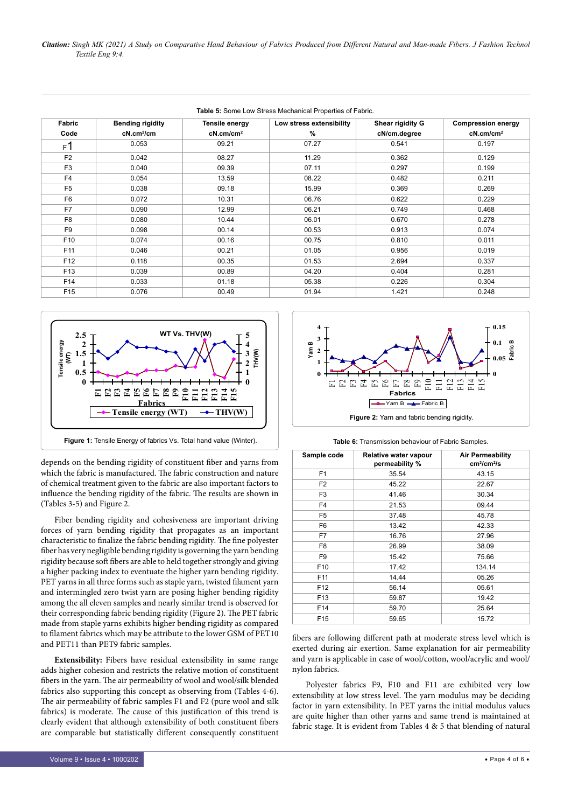*Citation: Singh MK (2021) A Study on Comparative Hand Behaviour of Fabrics Produced from Different Natural and Man-made Fibers. J Fashion Technol Textile Eng 9:4.*

| Table 5: Some Low Stress Mechanical Properties of Fabric. |                         |                       |                          |                  |                           |
|-----------------------------------------------------------|-------------------------|-----------------------|--------------------------|------------------|---------------------------|
| Fabric                                                    | <b>Bending rigidity</b> | Tensile energy        | Low stress extensibility | Shear rigidity G | <b>Compression energy</b> |
| Code                                                      | $cN.cm^2/cm$            | cN.cm/cm <sup>2</sup> | %                        | cN/cm.degree     | cN.cm/cm <sup>2</sup>     |
| F <sub>1</sub>                                            | 0.053                   | 09.21                 | 07.27                    | 0.541            | 0.197                     |
| F <sub>2</sub>                                            | 0.042                   | 08.27                 | 11.29                    | 0.362            | 0.129                     |
| F <sub>3</sub>                                            | 0.040                   | 09.39                 | 07.11                    | 0.297            | 0.199                     |
| F <sub>4</sub>                                            | 0.054                   | 13.59                 | 08.22                    | 0.482            | 0.211                     |
| F <sub>5</sub>                                            | 0.038                   | 09.18                 | 15.99                    | 0.369            | 0.269                     |
| F <sub>6</sub>                                            | 0.072                   | 10.31                 | 06.76                    | 0.622            | 0.229                     |
| F7                                                        | 0.090                   | 12.99                 | 06.21                    | 0.749            | 0.468                     |
| F <sub>8</sub>                                            | 0.080                   | 10.44                 | 06.01                    | 0.670            | 0.278                     |
| F <sub>9</sub>                                            | 0.098                   | 00.14                 | 00.53                    | 0.913            | 0.074                     |
| F <sub>10</sub>                                           | 0.074                   | 00.16                 | 00.75                    | 0.810            | 0.011                     |
| F <sub>11</sub>                                           | 0.046                   | 00.21                 | 01.05                    | 0.956            | 0.019                     |
| F <sub>12</sub>                                           | 0.118                   | 00.35                 | 01.53                    | 2.694            | 0.337                     |
| F <sub>13</sub>                                           | 0.039                   | 00.89                 | 04.20                    | 0.404            | 0.281                     |
| F14                                                       | 0.033                   | 01.18                 | 05.38                    | 0.226            | 0.304                     |
| F <sub>15</sub>                                           | 0.076                   | 00.49                 | 01.94                    | 1.421            | 0.248                     |





depends on the bending rigidity of constituent fiber and yarns from which the fabric is manufactured. The fabric construction and nature of chemical treatment given to the fabric are also important factors to influence the bending rigidity of the fabric. The results are shown in (Tables 3-5) and Figure 2.

Fiber bending rigidity and cohesiveness are important driving forces of yarn bending rigidity that propagates as an important characteristic to finalize the fabric bending rigidity. The fine polyester fiber has very negligible bending rigidity is governing the yarn bending rigidity because soft fibers are able to held together strongly and giving a higher packing index to eventuate the higher yarn bending rigidity. PET yarns in all three forms such as staple yarn, twisted filament yarn and intermingled zero twist yarn are posing higher bending rigidity among the all eleven samples and nearly similar trend is observed for their corresponding fabric bending rigidity (Figure 2). The PET fabric made from staple yarns exhibits higher bending rigidity as compared to filament fabrics which may be attribute to the lower GSM of PET10 and PET11 than PET9 fabric samples.

**Extensibility:** Fibers have residual extensibility in same range adds higher cohesion and restricts the relative motion of constituent fibers in the yarn. The air permeability of wool and wool/silk blended fabrics also supporting this concept as observing from (Tables 4-6). The air permeability of fabric samples F1 and F2 (pure wool and silk fabrics) is moderate. The cause of this justification of this trend is clearly evident that although extensibility of both constituent fibers are comparable but statistically different consequently constituent





| Sample code     | Relative water vapour<br>permeability % | <b>Air Permeability</b><br>cm <sup>3</sup> /cm <sup>2</sup> /s |
|-----------------|-----------------------------------------|----------------------------------------------------------------|
| F <sub>1</sub>  | 35.54                                   | 43.15                                                          |
| F <sub>2</sub>  | 45.22                                   | 22.67                                                          |
| F <sub>3</sub>  | 41.46                                   | 30.34                                                          |
| F <sub>4</sub>  | 21.53                                   | 09.44                                                          |
| F <sub>5</sub>  | 37.48                                   | 45.78                                                          |
| F <sub>6</sub>  | 13.42                                   | 42.33                                                          |
| F7              | 16.76                                   | 27.96                                                          |
| F <sub>8</sub>  | 26.99                                   | 38.09                                                          |
| F <sub>9</sub>  | 15.42                                   | 75.66                                                          |
| F <sub>10</sub> | 17.42                                   | 134.14                                                         |
| F11             | 14.44                                   | 05.26                                                          |
| F <sub>12</sub> | 56.14                                   | 05.61                                                          |
| F <sub>13</sub> | 59.87                                   | 19.42                                                          |
| F14             | 59.70                                   | 25.64                                                          |
| F <sub>15</sub> | 59.65                                   | 15.72                                                          |

fibers are following different path at moderate stress level which is exerted during air exertion. Same explanation for air permeability and yarn is applicable in case of wool/cotton, wool/acrylic and wool/ nylon fabrics.

Polyester fabrics F9, F10 and F11 are exhibited very low extensibility at low stress level. The yarn modulus may be deciding factor in yarn extensibility. In PET yarns the initial modulus values are quite higher than other yarns and same trend is maintained at fabric stage. It is evident from Tables 4 & 5 that blending of natural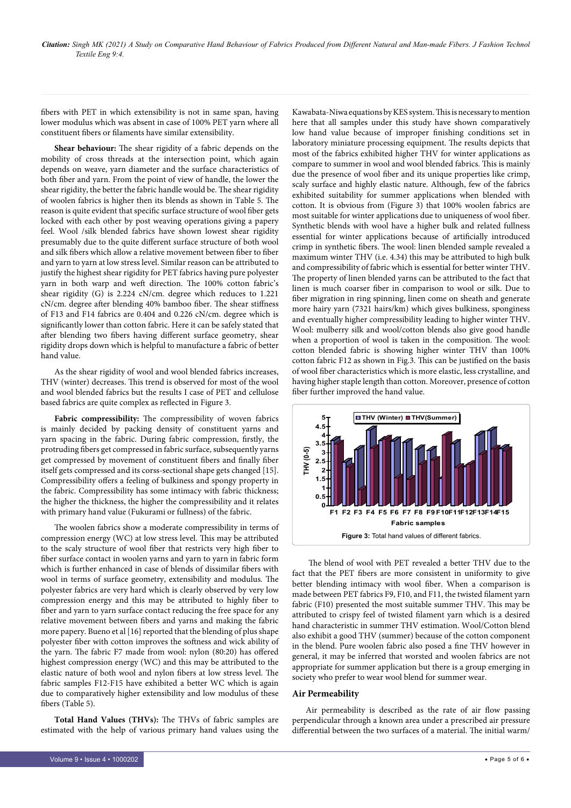fibers with PET in which extensibility is not in same span, having lower modulus which was absent in case of 100% PET yarn where all constituent fibers or filaments have similar extensibility.

**Shear behaviour:** The shear rigidity of a fabric depends on the mobility of cross threads at the intersection point, which again depends on weave, yarn diameter and the surface characteristics of both fiber and yarn. From the point of view of handle, the lower the shear rigidity, the better the fabric handle would be. The shear rigidity of woolen fabrics is higher then its blends as shown in Table 5. The reason is quite evident that specific surface structure of wool fiber gets locked with each other by post weaving operations giving a papery feel. Wool /silk blended fabrics have shown lowest shear rigidity presumably due to the quite different surface structure of both wool and silk fibers which allow a relative movement between fiber to fiber and yarn to yarn at low stress level. Similar reason can be attributed to justify the highest shear rigidity for PET fabrics having pure polyester yarn in both warp and weft direction. The 100% cotton fabric's shear rigidity (G) is 2.224 cN/cm. degree which reduces to 1.221 cN/cm. degree after blending 40% bamboo fiber. The shear stiffness of F13 and F14 fabrics are 0.404 and 0.226 cN/cm. degree which is significantly lower than cotton fabric. Here it can be safely stated that after blending two fibers having different surface geometry, shear rigidity drops down which is helpful to manufacture a fabric of better hand value.

As the shear rigidity of wool and wool blended fabrics increases, THV (winter) decreases. This trend is observed for most of the wool and wool blended fabrics but the results I case of PET and cellulose based fabrics are quite complex as reflected in Figure 3.

**Fabric compressibility:** The compressibility of woven fabrics is mainly decided by packing density of constituent yarns and yarn spacing in the fabric. During fabric compression, firstly, the protruding fibers get compressed in fabric surface, subsequently yarns get compressed by movement of constituent fibers and finally fiber itself gets compressed and its corss-sectional shape gets changed [15]. Compressibility offers a feeling of bulkiness and spongy property in the fabric. Compressibility has some intimacy with fabric thickness; the higher the thickness, the higher the compressibility and it relates with primary hand value (Fukurami or fullness) of the fabric.

The woolen fabrics show a moderate compressibility in terms of compression energy (WC) at low stress level. This may be attributed to the scaly structure of wool fiber that restricts very high fiber to fiber surface contact in woolen yarns and yarn to yarn in fabric form which is further enhanced in case of blends of dissimilar fibers with wool in terms of surface geometry, extensibility and modulus. The polyester fabrics are very hard which is clearly observed by very low compression energy and this may be attributed to highly fiber to fiber and yarn to yarn surface contact reducing the free space for any relative movement between fibers and yarns and making the fabric more papery. Bueno et al [16] reported that the blending of plus shape polyester fiber with cotton improves the softness and wick ability of the yarn. The fabric F7 made from wool: nylon (80:20) has offered highest compression energy (WC) and this may be attributed to the elastic nature of both wool and nylon fibers at low stress level. The fabric samples F12-F15 have exhibited a better WC which is again due to comparatively higher extensibility and low modulus of these fibers (Table 5).

**Total Hand Values (THVs):** The THVs of fabric samples are estimated with the help of various primary hand values using the

Kawabata-Niwa equations by KES system. This is necessary to mention here that all samples under this study have shown comparatively low hand value because of improper finishing conditions set in laboratory miniature processing equipment. The results depicts that most of the fabrics exhibited higher THV for winter applications as compare to summer in wool and wool blended fabrics. This is mainly due the presence of wool fiber and its unique properties like crimp, scaly surface and highly elastic nature. Although, few of the fabrics exhibited suitability for summer applications when blended with cotton. It is obvious from (Figure 3) that 100% woolen fabrics are most suitable for winter applications due to uniqueness of wool fiber. Synthetic blends with wool have a higher bulk and related fullness essential for winter applications because of artificially introduced crimp in synthetic fibers. The wool: linen blended sample revealed a maximum winter THV (i.e. 4.34) this may be attributed to high bulk and compressibility of fabric which is essential for better winter THV. The property of linen blended yarns can be attributed to the fact that linen is much coarser fiber in comparison to wool or silk. Due to fiber migration in ring spinning, linen come on sheath and generate more hairy yarn (7321 hairs/km) which gives bulkiness, sponginess and eventually higher compressibility leading to higher winter THV. Wool: mulberry silk and wool/cotton blends also give good handle when a proportion of wool is taken in the composition. The wool: cotton blended fabric is showing higher winter THV than 100% cotton fabric F12 as shown in Fig.3. This can be justified on the basis of wool fiber characteristics which is more elastic, less crystalline, and having higher staple length than cotton. Moreover, presence of cotton fiber further improved the hand value.



 The blend of wool with PET revealed a better THV due to the fact that the PET fibers are more consistent in uniformity to give better blending intimacy with wool fiber. When a comparison is made between PET fabrics F9, F10, and F11, the twisted filament yarn fabric (F10) presented the most suitable summer THV. This may be attributed to crispy feel of twisted filament yarn which is a desired hand characteristic in summer THV estimation. Wool/Cotton blend also exhibit a good THV (summer) because of the cotton component in the blend. Pure woolen fabric also posed a fine THV however in general, it may be inferred that worsted and woolen fabrics are not appropriate for summer application but there is a group emerging in society who prefer to wear wool blend for summer wear.

#### **Air Permeability**

Air permeability is described as the rate of air flow passing perpendicular through a known area under a prescribed air pressure differential between the two surfaces of a material. The initial warm/